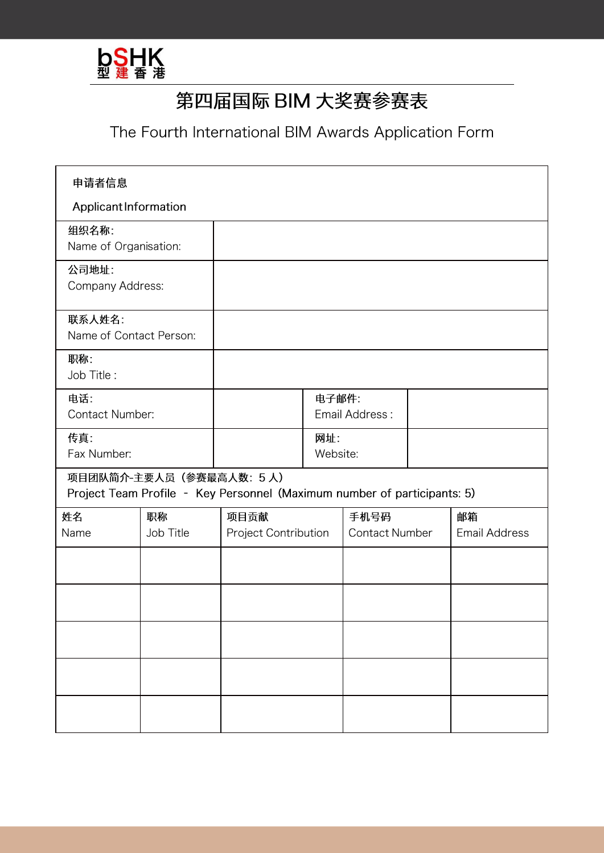

## 第四届国际 BIM 大奖赛参赛表

The Fourth International BIM Awards Application Form

| 申请者信息                                                                                               |           |                      |                 |                       |  |                      |  |
|-----------------------------------------------------------------------------------------------------|-----------|----------------------|-----------------|-----------------------|--|----------------------|--|
| Applicant Information                                                                               |           |                      |                 |                       |  |                      |  |
| 组织名称:<br>Name of Organisation:                                                                      |           |                      |                 |                       |  |                      |  |
| 公司地址:<br>Company Address:                                                                           |           |                      |                 |                       |  |                      |  |
| 联系人姓名:<br>Name of Contact Person:                                                                   |           |                      |                 |                       |  |                      |  |
| 职称:<br>Job Title:                                                                                   |           |                      |                 |                       |  |                      |  |
| 电话:<br>Contact Number:                                                                              |           |                      | 电子邮件:           | Email Address:        |  |                      |  |
| 传真:<br>Fax Number:                                                                                  |           |                      | 网址:<br>Website: |                       |  |                      |  |
| 项目团队简介-主要人员(参赛最高人数: 5人)<br>Project Team Profile - Key Personnel (Maximum number of participants: 5) |           |                      |                 |                       |  |                      |  |
| 姓名                                                                                                  | 职称        | 项目贡献                 |                 | 手机号码                  |  | 邮箱                   |  |
| Name                                                                                                | Job Title | Project Contribution |                 | <b>Contact Number</b> |  | <b>Email Address</b> |  |
|                                                                                                     |           |                      |                 |                       |  |                      |  |
|                                                                                                     |           |                      |                 |                       |  |                      |  |
|                                                                                                     |           |                      |                 |                       |  |                      |  |
|                                                                                                     |           |                      |                 |                       |  |                      |  |
|                                                                                                     |           |                      |                 |                       |  |                      |  |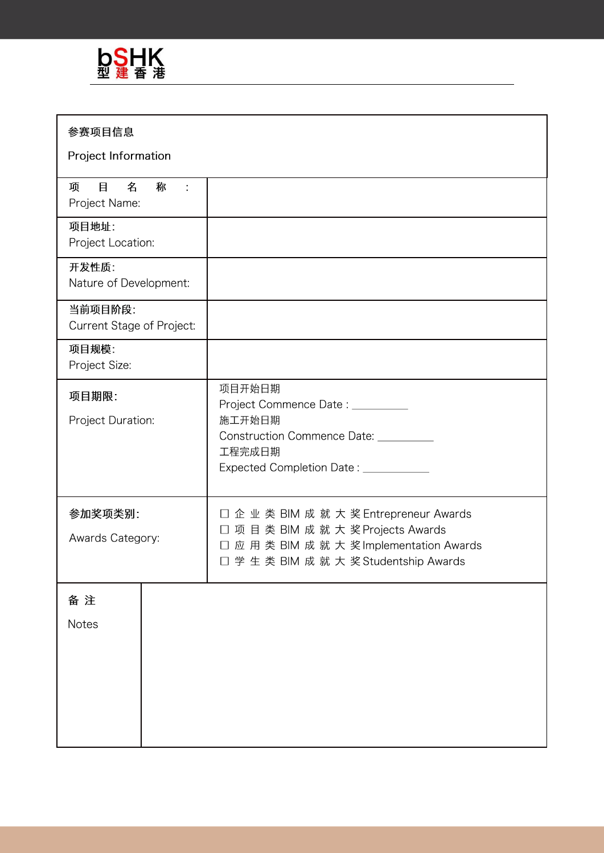

| 参赛项目信息<br>Project Information                       |                                                                                                                                                                           |  |  |  |  |
|-----------------------------------------------------|---------------------------------------------------------------------------------------------------------------------------------------------------------------------------|--|--|--|--|
| 目<br>名<br>称<br>$\mathbb{R}^2$<br>项<br>Project Name: |                                                                                                                                                                           |  |  |  |  |
| 项目地址:<br>Project Location:                          |                                                                                                                                                                           |  |  |  |  |
| 开发性质:<br>Nature of Development:                     |                                                                                                                                                                           |  |  |  |  |
| 当前项目阶段:<br>Current Stage of Project:                |                                                                                                                                                                           |  |  |  |  |
| 项目规模:<br>Project Size:                              |                                                                                                                                                                           |  |  |  |  |
| 项目期限:<br>Project Duration:                          | 项目开始日期<br>Project Commence Date: _________<br>施工开始日期<br>Construction Commence Date: _________<br>工程完成日期<br>Expected Completion Date: ___________                          |  |  |  |  |
| 参加奖项类别:<br>Awards Category:                         | □ 企 业 类 BIM 成 就 大 奖 Entrepreneur Awards<br>项目类 BIM 成 就 大 奖 Projects Awards<br>$\Box$<br>□ 应 用 类 BIM 成 就 大 奖 Implementation Awards<br>□ 学生类 BIM 成 就 大 奖 Studentship Awards |  |  |  |  |
| 备注<br>Notes                                         |                                                                                                                                                                           |  |  |  |  |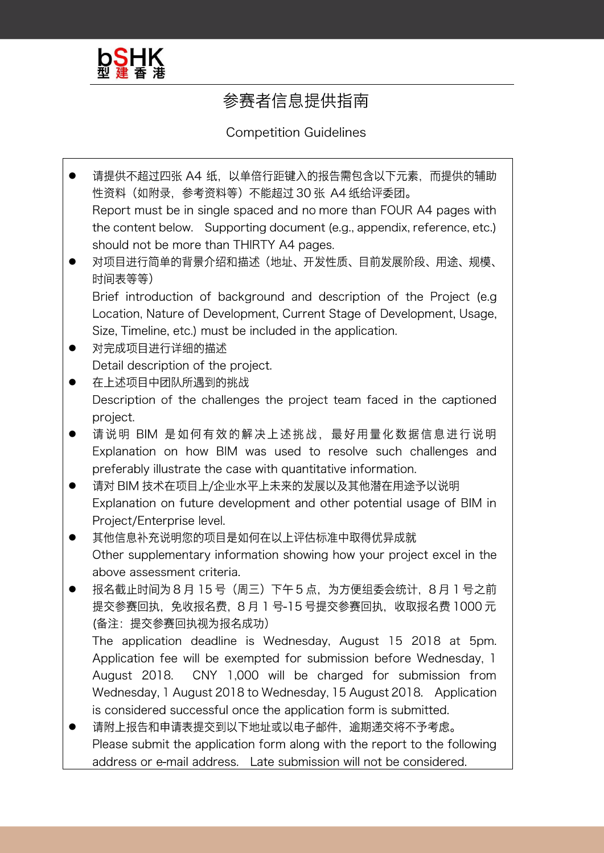

## 参赛者信息提供指南

**Competition Guidelines** 

- 请提供不超过四张 A4 纸, 以单倍行距键入的报告需包含以下元素, 而提供的辅助 性资料 (如附录, 参考资料等) 不能超过 30 张 A4 纸给评委团。 Report must be in single spaced and no more than FOUR A4 pages with the content below. Supporting document (e.g., appendix, reference, etc.) should not be more than THIRTY A4 pages.
- 对项目进行简单的背景介绍和描述(地址、开发性质、目前发展阶段、用途、规模、  $\bullet$ 时间表等等)

Brief introduction of background and description of the Project (e.g. Location, Nature of Development, Current Stage of Development, Usage, Size, Timeline, etc.) must be included in the application.

- 对完成项目进行详细的描述 Detail description of the project.
- 在上述项目中团队所遇到的挑战  $\bullet$ Description of the challenges the project team faced in the captioned project.
- 请说明 BIM 是如何有效的解决上述挑战, 最好用量化数据信息进行说明 Explanation on how BIM was used to resolve such challenges and preferably illustrate the case with quantitative information.
- 请对 BIM 技术在项目上/企业水平上未来的发展以及其他潜在用途予以说明 Explanation on future development and other potential usage of BIM in Project/Enterprise level.
- 其他信息补充说明您的项目是如何在以上评估标准中取得优异成就 Other supplementary information showing how your project excel in the above assessment criteria.
- 报名截止时间为8月15号(周三)下午5点,为方便组委会统计,8月1号之前 提交参赛回执,免收报名费, 8月 1号-15号提交参赛回执, 收取报名费 1000元 (备注:提交参赛回执视为报名成功) The application deadline is Wednesday, August 15 2018 at 5pm.

Application fee will be exempted for submission before Wednesday, 1 CNY 1,000 will be charged for submission from August 2018. Wednesday, 1 August 2018 to Wednesday, 15 August 2018. Application is considered successful once the application form is submitted.

请附上报告和申请表提交到以下地址或以电子邮件、逾期递交将不予考虑。  $\bullet$ Please submit the application form along with the report to the following address or e-mail address. Late submission will not be considered.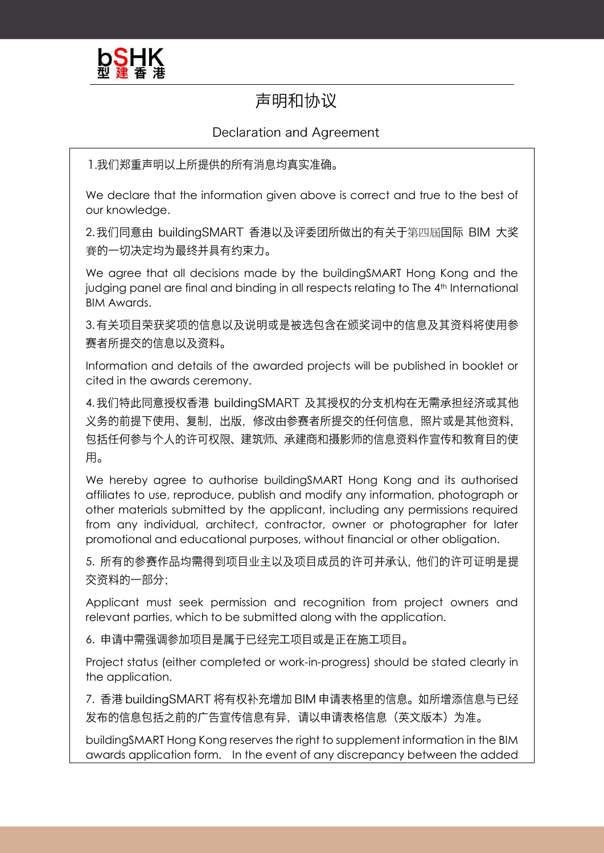

## 声明和协议

## Declaration and Agreement

1.我们郑重声明以上所提供的所有消息均真实准确。

We declare that the information given above is correct and true to the best of our knowledge.

2. 我们同意由 buildingSMART 香港以及评委团所做出的有关于第四屆国际 BIM 大奖 賽的一切决定均为最终并具有约束力。

We agree that all decisions made by the buildingSMART Hong Kong and the judging panel are final and binding in all respects relating to The 4<sup>th</sup> International BIM Awards.

3.有关项目荣获奖项的信息以及说明或是被选包含在颁奖词中的信息及其资料将使用参 赛者所提交的信息以及资料。

Information and details of the awarded projects will be published in booklet or cited in the awards ceremony.

4.我们特此同意授权香港 buildingSMART 及其授权的分支机构在无需承担经济或其他 义务的前提下使用、复制、出版、修改由参赛者所提交的任何信息、照片或是其他资料、 包括任何参与个人的许可权限、建筑师、承建商和摄影师的信息资料作宣传和教育目的使 用。

We hereby agree to authorise buildingSMART Hong Kong and its authorised affiliates to use, reproduce, publish and modify any information, photograph or other materials submitted by the applicant, including any permissions required from any individual, architect, contractor, owner or photographer for later promotional and educational purposes, without financial or other obligation.

5. 所有的参赛作品均需得到项目业主以及项目成员的许可并承认, 他们的许可证明是提 交资料的一部分:

Applicant must seek permission and recognition from project owners and relevant parties, which to be submitted along with the application.

6. 申请中需强调参加项目是属于已经完工项目或是正在施工项目。

Project status (either completed or work-in-progress) should be stated clearly in the application.

7. 香港 buildingSMART 将有权补充增加 BIM 申请表格里的信息。如所增添信息与已经 发布的信息包括之前的广告宣传信息有异,请以申请表格信息(英文版本)为准。

buildingSMART Hong Kong reserves the right to supplement information in the BIM awards application form. In the event of any discrepancy between the added